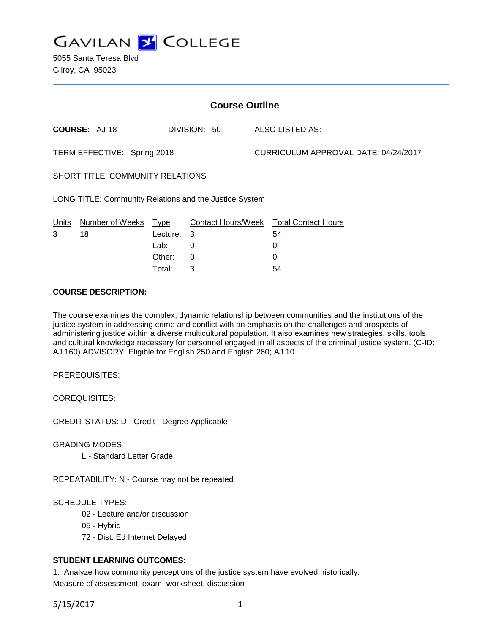

5055 Santa Teresa Blvd Gilroy, CA 95023

| <b>Course Outline</b>                                  |        |          |            |                                      |                            |
|--------------------------------------------------------|--------|----------|------------|--------------------------------------|----------------------------|
| <b>COURSE: AJ18</b>                                    |        |          |            |                                      | ALSO LISTED AS:            |
| TERM EFFECTIVE: Spring 2018                            |        |          |            | CURRICULUM APPROVAL DATE: 04/24/2017 |                            |
| <b>SHORT TITLE: COMMUNITY RELATIONS</b>                |        |          |            |                                      |                            |
| LONG TITLE: Community Relations and the Justice System |        |          |            |                                      |                            |
| Number of Weeks                                        |        |          |            |                                      | <b>Total Contact Hours</b> |
| 18                                                     |        |          |            |                                      | 54                         |
|                                                        | Lab:   | $\Omega$ |            |                                      | 0                          |
|                                                        | Other: | 0        |            |                                      | 0                          |
|                                                        |        | Type     | Lecture: 3 | DIVISION: 50                         | <b>Contact Hours/Week</b>  |

Total: 3 54

### **COURSE DESCRIPTION:**

The course examines the complex, dynamic relationship between communities and the institutions of the justice system in addressing crime and conflict with an emphasis on the challenges and prospects of administering justice within a diverse multicultural population. It also examines new strategies, skills, tools, and cultural knowledge necessary for personnel engaged in all aspects of the criminal justice system. (C-ID: AJ 160) ADVISORY: Eligible for English 250 and English 260; AJ 10.

PREREQUISITES:

COREQUISITES:

CREDIT STATUS: D - Credit - Degree Applicable

GRADING MODES

L - Standard Letter Grade

REPEATABILITY: N - Course may not be repeated

SCHEDULE TYPES:

- 02 Lecture and/or discussion
- 05 Hybrid
- 72 Dist. Ed Internet Delayed

## **STUDENT LEARNING OUTCOMES:**

1. Analyze how community perceptions of the justice system have evolved historically. Measure of assessment: exam, worksheet, discussion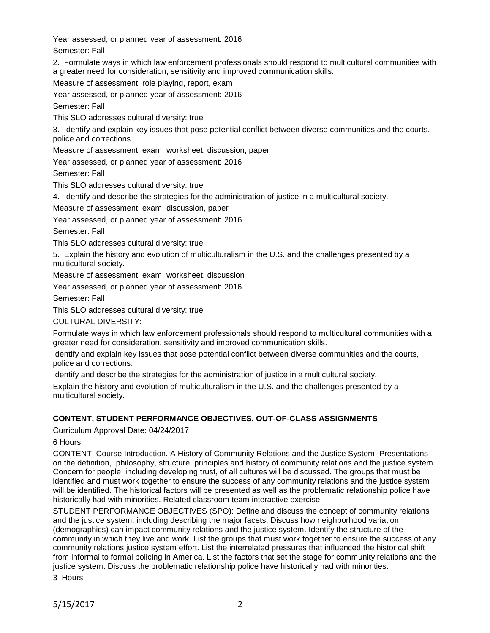Year assessed, or planned year of assessment: 2016 Semester: Fall

2. Formulate ways in which law enforcement professionals should respond to multicultural communities with a greater need for consideration, sensitivity and improved communication skills.

Measure of assessment: role playing, report, exam

Year assessed, or planned year of assessment: 2016

Semester: Fall

This SLO addresses cultural diversity: true

3. Identify and explain key issues that pose potential conflict between diverse communities and the courts, police and corrections.

Measure of assessment: exam, worksheet, discussion, paper

Year assessed, or planned year of assessment: 2016

Semester: Fall

This SLO addresses cultural diversity: true

4. Identify and describe the strategies for the administration of justice in a multicultural society.

Measure of assessment: exam, discussion, paper

Year assessed, or planned year of assessment: 2016

Semester: Fall

This SLO addresses cultural diversity: true

5. Explain the history and evolution of multiculturalism in the U.S. and the challenges presented by a multicultural society.

Measure of assessment: exam, worksheet, discussion

Year assessed, or planned year of assessment: 2016

Semester: Fall

This SLO addresses cultural diversity: true

CULTURAL DIVERSITY:

Formulate ways in which law enforcement professionals should respond to multicultural communities with a greater need for consideration, sensitivity and improved communication skills.

Identify and explain key issues that pose potential conflict between diverse communities and the courts, police and corrections.

Identify and describe the strategies for the administration of justice in a multicultural society.

Explain the history and evolution of multiculturalism in the U.S. and the challenges presented by a multicultural society.

# **CONTENT, STUDENT PERFORMANCE OBJECTIVES, OUT-OF-CLASS ASSIGNMENTS**

Curriculum Approval Date: 04/24/2017

6 Hours

CONTENT: Course Introduction. A History of Community Relations and the Justice System. Presentations on the definition, philosophy, structure, principles and history of community relations and the justice system. Concern for people, including developing trust, of all cultures will be discussed. The groups that must be identified and must work together to ensure the success of any community relations and the justice system will be identified. The historical factors will be presented as well as the problematic relationship police have historically had with minorities. Related classroom team interactive exercise.

STUDENT PERFORMANCE OBJECTIVES (SPO): Define and discuss the concept of community relations and the justice system, including describing the major facets. Discuss how neighborhood variation (demographics) can impact community relations and the justice system. Identify the structure of the community in which they live and work. List the groups that must work together to ensure the success of any community relations justice system effort. List the interrelated pressures that influenced the historical shift from informal to formal policing in America. List the factors that set the stage for community relations and the justice system. Discuss the problematic relationship police have historically had with minorities.

3 Hours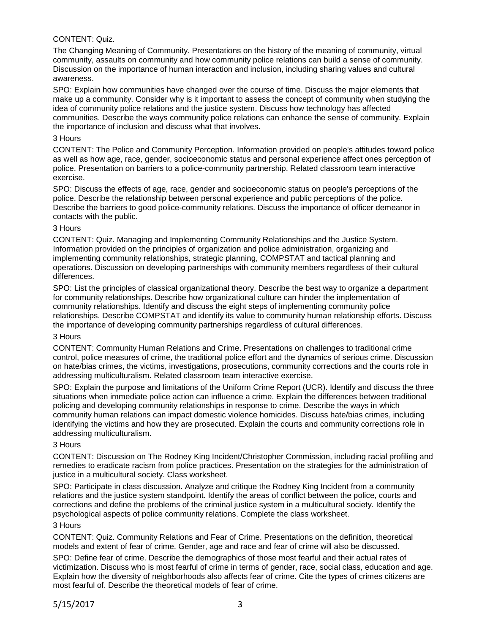## CONTENT: Quiz.

The Changing Meaning of Community. Presentations on the history of the meaning of community, virtual community, assaults on community and how community police relations can build a sense of community. Discussion on the importance of human interaction and inclusion, including sharing values and cultural awareness.

SPO: Explain how communities have changed over the course of time. Discuss the major elements that make up a community. Consider why is it important to assess the concept of community when studying the idea of community police relations and the justice system. Discuss how technology has affected communities. Describe the ways community police relations can enhance the sense of community. Explain the importance of inclusion and discuss what that involves.

#### 3 Hours

CONTENT: The Police and Community Perception. Information provided on people's attitudes toward police as well as how age, race, gender, socioeconomic status and personal experience affect ones perception of police. Presentation on barriers to a police-community partnership. Related classroom team interactive exercise.

SPO: Discuss the effects of age, race, gender and socioeconomic status on people's perceptions of the police. Describe the relationship between personal experience and public perceptions of the police. Describe the barriers to good police-community relations. Discuss the importance of officer demeanor in contacts with the public.

#### 3 Hours

CONTENT: Quiz. Managing and Implementing Community Relationships and the Justice System. Information provided on the principles of organization and police administration, organizing and implementing community relationships, strategic planning, COMPSTAT and tactical planning and operations. Discussion on developing partnerships with community members regardless of their cultural differences.

SPO: List the principles of classical organizational theory. Describe the best way to organize a department for community relationships. Describe how organizational culture can hinder the implementation of community relationships. Identify and discuss the eight steps of implementing community police relationships. Describe COMPSTAT and identify its value to community human relationship efforts. Discuss the importance of developing community partnerships regardless of cultural differences.

#### 3 Hours

CONTENT: Community Human Relations and Crime. Presentations on challenges to traditional crime control, police measures of crime, the traditional police effort and the dynamics of serious crime. Discussion on hate/bias crimes, the victims, investigations, prosecutions, community corrections and the courts role in addressing multiculturalism. Related classroom team interactive exercise.

SPO: Explain the purpose and limitations of the Uniform Crime Report (UCR). Identify and discuss the three situations when immediate police action can influence a crime. Explain the differences between traditional policing and developing community relationships in response to crime. Describe the ways in which community human relations can impact domestic violence homicides. Discuss hate/bias crimes, including identifying the victims and how they are prosecuted. Explain the courts and community corrections role in addressing multiculturalism.

#### 3 Hours

CONTENT: Discussion on The Rodney King Incident/Christopher Commission, including racial profiling and remedies to eradicate racism from police practices. Presentation on the strategies for the administration of justice in a multicultural society. Class worksheet.

SPO: Participate in class discussion. Analyze and critique the Rodney King Incident from a community relations and the justice system standpoint. Identify the areas of conflict between the police, courts and corrections and define the problems of the criminal justice system in a multicultural society. Identify the psychological aspects of police community relations. Complete the class worksheet.

#### 3 Hours

CONTENT: Quiz. Community Relations and Fear of Crime. Presentations on the definition, theoretical models and extent of fear of crime. Gender, age and race and fear of crime will also be discussed.

SPO: Define fear of crime. Describe the demographics of those most fearful and their actual rates of victimization. Discuss who is most fearful of crime in terms of gender, race, social class, education and age. Explain how the diversity of neighborhoods also affects fear of crime. Cite the types of crimes citizens are most fearful of. Describe the theoretical models of fear of crime.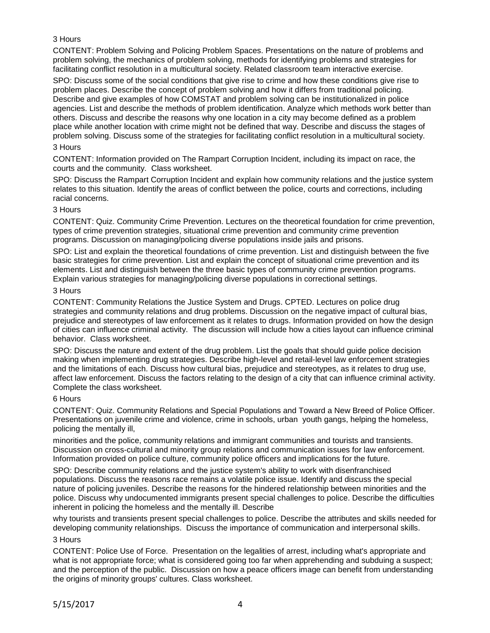## 3 Hours

CONTENT: Problem Solving and Policing Problem Spaces. Presentations on the nature of problems and problem solving, the mechanics of problem solving, methods for identifying problems and strategies for facilitating conflict resolution in a multicultural society. Related classroom team interactive exercise.

SPO: Discuss some of the social conditions that give rise to crime and how these conditions give rise to problem places. Describe the concept of problem solving and how it differs from traditional policing. Describe and give examples of how COMSTAT and problem solving can be institutionalized in police agencies. List and describe the methods of problem identification. Analyze which methods work better than others. Discuss and describe the reasons why one location in a city may become defined as a problem place while another location with crime might not be defined that way. Describe and discuss the stages of problem solving. Discuss some of the strategies for facilitating conflict resolution in a multicultural society.

### 3 Hours

CONTENT: Information provided on The Rampart Corruption Incident, including its impact on race, the courts and the community. Class worksheet.

SPO: Discuss the Rampart Corruption Incident and explain how community relations and the justice system relates to this situation. Identify the areas of conflict between the police, courts and corrections, including racial concerns.

## 3 Hours

CONTENT: Quiz. Community Crime Prevention. Lectures on the theoretical foundation for crime prevention, types of crime prevention strategies, situational crime prevention and community crime prevention programs. Discussion on managing/policing diverse populations inside jails and prisons.

SPO: List and explain the theoretical foundations of crime prevention. List and distinguish between the five basic strategies for crime prevention. List and explain the concept of situational crime prevention and its elements. List and distinguish between the three basic types of community crime prevention programs. Explain various strategies for managing/policing diverse populations in correctional settings.

## 3 Hours

CONTENT: Community Relations the Justice System and Drugs. CPTED. Lectures on police drug strategies and community relations and drug problems. Discussion on the negative impact of cultural bias, prejudice and stereotypes of law enforcement as it relates to drugs. Information provided on how the design of cities can influence criminal activity. The discussion will include how a cities layout can influence criminal behavior. Class worksheet.

SPO: Discuss the nature and extent of the drug problem. List the goals that should guide police decision making when implementing drug strategies. Describe high-level and retail-level law enforcement strategies and the limitations of each. Discuss how cultural bias, prejudice and stereotypes, as it relates to drug use, affect law enforcement. Discuss the factors relating to the design of a city that can influence criminal activity. Complete the class worksheet.

## 6 Hours

CONTENT: Quiz. Community Relations and Special Populations and Toward a New Breed of Police Officer. Presentations on juvenile crime and violence, crime in schools, urban youth gangs, helping the homeless, policing the mentally ill,

minorities and the police, community relations and immigrant communities and tourists and transients. Discussion on cross-cultural and minority group relations and communication issues for law enforcement. Information provided on police culture, community police officers and implications for the future.

SPO: Describe community relations and the justice system's ability to work with disenfranchised populations. Discuss the reasons race remains a volatile police issue. Identify and discuss the special nature of policing juveniles. Describe the reasons for the hindered relationship between minorities and the police. Discuss why undocumented immigrants present special challenges to police. Describe the difficulties inherent in policing the homeless and the mentally ill. Describe

why tourists and transients present special challenges to police. Describe the attributes and skills needed for developing community relationships. Discuss the importance of communication and interpersonal skills.

## 3 Hours

CONTENT: Police Use of Force. Presentation on the legalities of arrest, including what's appropriate and what is not appropriate force; what is considered going too far when apprehending and subduing a suspect; and the perception of the public. Discussion on how a peace officers image can benefit from understanding the origins of minority groups' cultures. Class worksheet.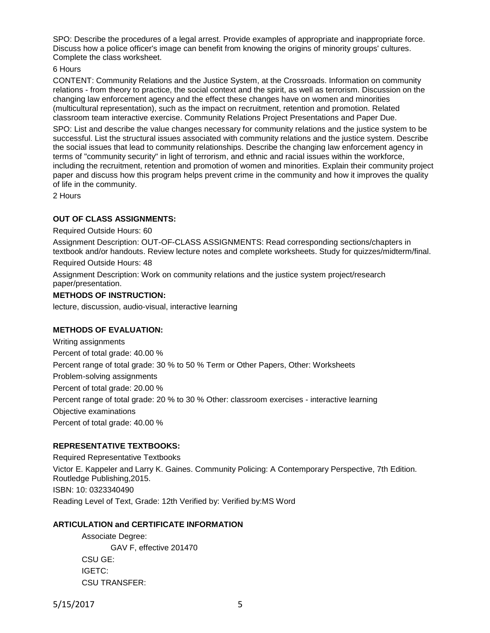SPO: Describe the procedures of a legal arrest. Provide examples of appropriate and inappropriate force. Discuss how a police officer's image can benefit from knowing the origins of minority groups' cultures. Complete the class worksheet.

### 6 Hours

CONTENT: Community Relations and the Justice System, at the Crossroads. Information on community relations - from theory to practice, the social context and the spirit, as well as terrorism. Discussion on the changing law enforcement agency and the effect these changes have on women and minorities (multicultural representation), such as the impact on recruitment, retention and promotion. Related classroom team interactive exercise. Community Relations Project Presentations and Paper Due.

SPO: List and describe the value changes necessary for community relations and the justice system to be successful. List the structural issues associated with community relations and the justice system. Describe the social issues that lead to community relationships. Describe the changing law enforcement agency in terms of "community security" in light of terrorism, and ethnic and racial issues within the workforce, including the recruitment, retention and promotion of women and minorities. Explain their community project paper and discuss how this program helps prevent crime in the community and how it improves the quality of life in the community.

2 Hours

### **OUT OF CLASS ASSIGNMENTS:**

Required Outside Hours: 60

Assignment Description: OUT-OF-CLASS ASSIGNMENTS: Read corresponding sections/chapters in textbook and/or handouts. Review lecture notes and complete worksheets. Study for quizzes/midterm/final.

Required Outside Hours: 48

Assignment Description: Work on community relations and the justice system project/research paper/presentation.

### **METHODS OF INSTRUCTION:**

lecture, discussion, audio-visual, interactive learning

### **METHODS OF EVALUATION:**

Writing assignments Percent of total grade: 40.00 % Percent range of total grade: 30 % to 50 % Term or Other Papers, Other: Worksheets Problem-solving assignments Percent of total grade: 20.00 % Percent range of total grade: 20 % to 30 % Other: classroom exercises - interactive learning Objective examinations Percent of total grade: 40.00 %

## **REPRESENTATIVE TEXTBOOKS:**

Required Representative Textbooks Victor E. Kappeler and Larry K. Gaines. Community Policing: A Contemporary Perspective, 7th Edition. Routledge Publishing,2015. ISBN: 10: 0323340490 Reading Level of Text, Grade: 12th Verified by: Verified by:MS Word

## **ARTICULATION and CERTIFICATE INFORMATION**

Associate Degree: GAV F, effective 201470 CSU GE: IGETC: CSU TRANSFER: